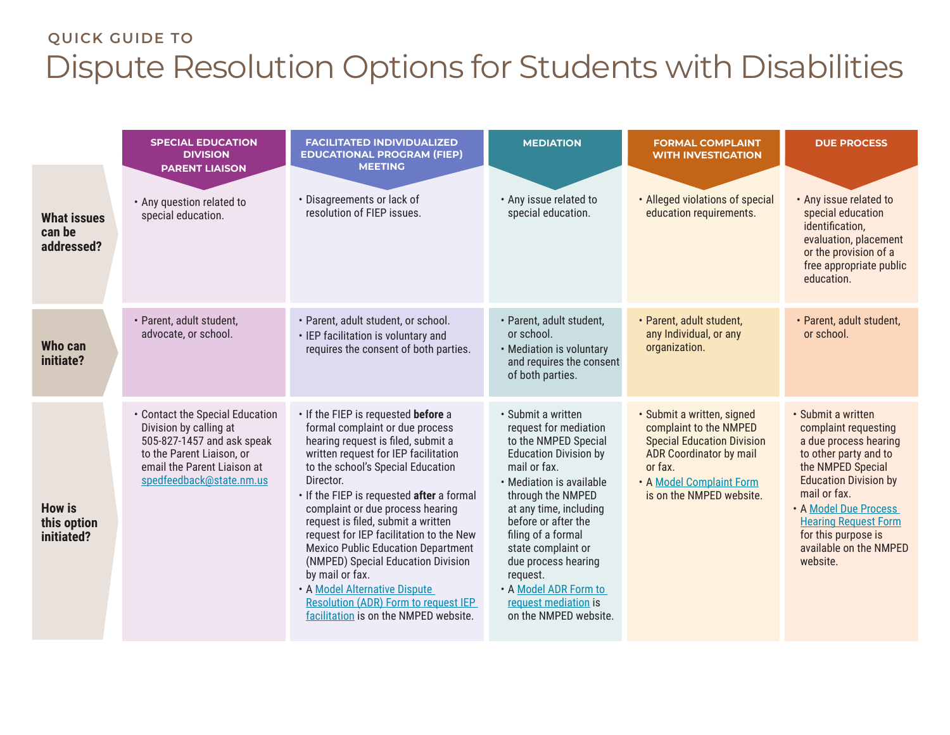## **QUICK GUIDE TO**  Dispute Resolution Options for Students with Disabilities

|                                            | <b>SPECIAL EDUCATION</b><br><b>DIVISION</b><br><b>PARENT LIAISON</b>                                                                                                            | <b>FACILITATED INDIVIDUALIZED</b><br><b>EDUCATIONAL PROGRAM (FIEP)</b><br><b>MEETING</b>                                                                                                                                                                                                                                                                                                                                                                                                                                                                                                                | <b>MEDIATION</b>                                                                                                                                                                                                                                                                                                                                                               | <b>FORMAL COMPLAINT</b><br><b>WITH INVESTIGATION</b>                                                                                                                                           | <b>DUE PROCESS</b>                                                                                                                                                                                                                                                                     |
|--------------------------------------------|---------------------------------------------------------------------------------------------------------------------------------------------------------------------------------|---------------------------------------------------------------------------------------------------------------------------------------------------------------------------------------------------------------------------------------------------------------------------------------------------------------------------------------------------------------------------------------------------------------------------------------------------------------------------------------------------------------------------------------------------------------------------------------------------------|--------------------------------------------------------------------------------------------------------------------------------------------------------------------------------------------------------------------------------------------------------------------------------------------------------------------------------------------------------------------------------|------------------------------------------------------------------------------------------------------------------------------------------------------------------------------------------------|----------------------------------------------------------------------------------------------------------------------------------------------------------------------------------------------------------------------------------------------------------------------------------------|
| <b>What issues</b><br>can be<br>addressed? | • Any question related to<br>special education.                                                                                                                                 | • Disagreements or lack of<br>resolution of FIEP issues.                                                                                                                                                                                                                                                                                                                                                                                                                                                                                                                                                | • Any issue related to<br>special education.                                                                                                                                                                                                                                                                                                                                   | • Alleged violations of special<br>education requirements.                                                                                                                                     | • Any issue related to<br>special education<br>identification,<br>evaluation, placement<br>or the provision of a<br>free appropriate public<br>education.                                                                                                                              |
| Who can<br>initiate?                       | · Parent, adult student,<br>advocate, or school.                                                                                                                                | · Parent, adult student, or school.<br>• IEP facilitation is voluntary and<br>requires the consent of both parties.                                                                                                                                                                                                                                                                                                                                                                                                                                                                                     | · Parent, adult student,<br>or school.<br>• Mediation is voluntary<br>and requires the consent<br>of both parties.                                                                                                                                                                                                                                                             | · Parent, adult student,<br>any Individual, or any<br>organization.                                                                                                                            | · Parent, adult student,<br>or school.                                                                                                                                                                                                                                                 |
| <b>How is</b><br>this option<br>initiated? | • Contact the Special Education<br>Division by calling at<br>505-827-1457 and ask speak<br>to the Parent Liaison, or<br>email the Parent Liaison at<br>spedfeedback@state.nm.us | . If the FIEP is requested before a<br>formal complaint or due process<br>hearing request is filed, submit a<br>written request for IEP facilitation<br>to the school's Special Education<br>Director.<br>. If the FIEP is requested after a formal<br>complaint or due process hearing<br>request is filed, submit a written<br>request for IEP facilitation to the New<br><b>Mexico Public Education Department</b><br>(NMPED) Special Education Division<br>by mail or fax.<br>. A Model Alternative Dispute<br><b>Resolution (ADR) Form to request IEP</b><br>facilitation is on the NMPED website. | · Submit a written<br>request for mediation<br>to the NMPED Special<br><b>Education Division by</b><br>mail or fax.<br>• Mediation is available<br>through the NMPED<br>at any time, including<br>before or after the<br>filing of a formal<br>state complaint or<br>due process hearing<br>request.<br>• A Model ADR Form to<br>request mediation is<br>on the NMPED website. | · Submit a written, signed<br>complaint to the NMPED<br><b>Special Education Division</b><br><b>ADR Coordinator by mail</b><br>or fax.<br>• A Model Complaint Form<br>is on the NMPED website. | · Submit a written<br>complaint requesting<br>a due process hearing<br>to other party and to<br>the NMPED Special<br><b>Education Division by</b><br>mail or fax.<br>. A Model Due Process<br><b>Hearing Request Form</b><br>for this purpose is<br>available on the NMPED<br>website. |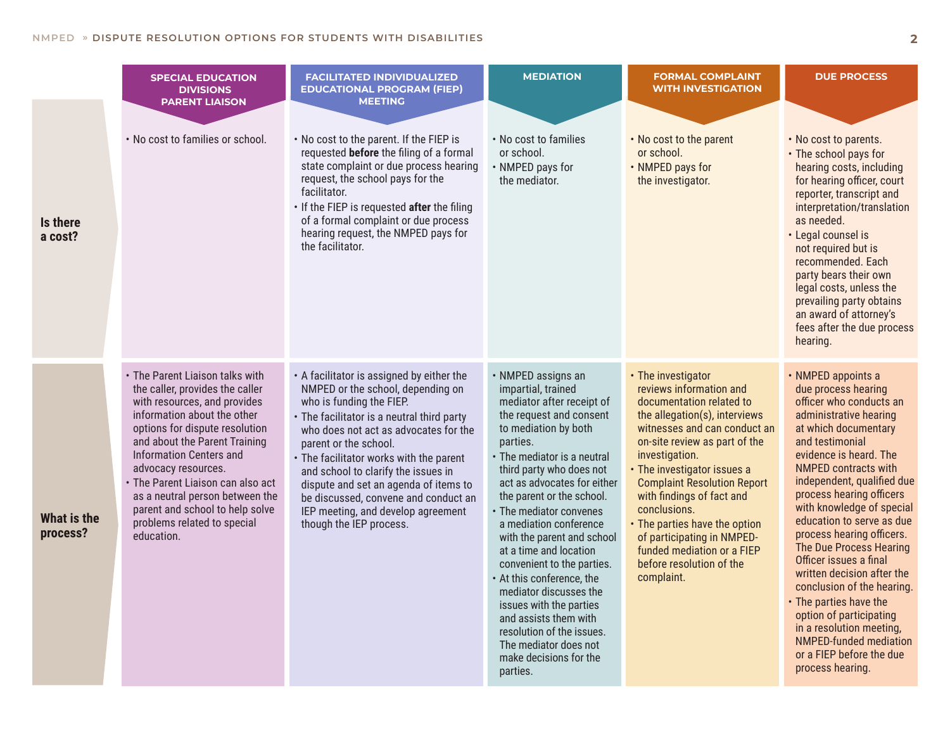|                                | <b>SPECIAL EDUCATION</b><br><b>DIVISIONS</b>                                                                                                                                                                                                                                                                                                                                                                          | <b>FACILITATED INDIVIDUALIZED</b><br><b>EDUCATIONAL PROGRAM (FIEP)</b><br><b>MEETING</b>                                                                                                                                                                                                                                                                                                                                                                       | <b>MEDIATION</b>                                                                                                                                                                                                                                                                                                                                                                                                                                                                                                                                                                                              | <b>FORMAL COMPLAINT</b><br><b>WITH INVESTIGATION</b>                                                                                                                                                                                                                                                                                                                                                                                                   | <b>DUE PROCESS</b>                                                                                                                                                                                                                                                                                                                                                                                                                                                                                                                                                                                                                     |
|--------------------------------|-----------------------------------------------------------------------------------------------------------------------------------------------------------------------------------------------------------------------------------------------------------------------------------------------------------------------------------------------------------------------------------------------------------------------|----------------------------------------------------------------------------------------------------------------------------------------------------------------------------------------------------------------------------------------------------------------------------------------------------------------------------------------------------------------------------------------------------------------------------------------------------------------|---------------------------------------------------------------------------------------------------------------------------------------------------------------------------------------------------------------------------------------------------------------------------------------------------------------------------------------------------------------------------------------------------------------------------------------------------------------------------------------------------------------------------------------------------------------------------------------------------------------|--------------------------------------------------------------------------------------------------------------------------------------------------------------------------------------------------------------------------------------------------------------------------------------------------------------------------------------------------------------------------------------------------------------------------------------------------------|----------------------------------------------------------------------------------------------------------------------------------------------------------------------------------------------------------------------------------------------------------------------------------------------------------------------------------------------------------------------------------------------------------------------------------------------------------------------------------------------------------------------------------------------------------------------------------------------------------------------------------------|
| Is there<br>a cost?            | <b>PARENT LIAISON</b><br>. No cost to families or school.                                                                                                                                                                                                                                                                                                                                                             | . No cost to the parent. If the FIEP is<br>requested before the filing of a formal<br>state complaint or due process hearing<br>request, the school pays for the<br>facilitator.<br>. If the FIEP is requested after the filing<br>of a formal complaint or due process<br>hearing request, the NMPED pays for<br>the facilitator.                                                                                                                             | . No cost to families<br>or school.<br>• NMPED pays for<br>the mediator.                                                                                                                                                                                                                                                                                                                                                                                                                                                                                                                                      | . No cost to the parent<br>or school.<br>• NMPED pays for<br>the investigator.                                                                                                                                                                                                                                                                                                                                                                         | • No cost to parents.<br>• The school pays for<br>hearing costs, including<br>for hearing officer, court<br>reporter, transcript and<br>interpretation/translation<br>as needed.<br>• Legal counsel is<br>not required but is<br>recommended. Each<br>party bears their own<br>legal costs, unless the<br>prevailing party obtains<br>an award of attorney's<br>fees after the due process<br>hearing.                                                                                                                                                                                                                                 |
| <b>What is the</b><br>process? | • The Parent Liaison talks with<br>the caller, provides the caller<br>with resources, and provides<br>information about the other<br>options for dispute resolution<br>and about the Parent Training<br><b>Information Centers and</b><br>advocacy resources.<br>• The Parent Liaison can also act<br>as a neutral person between the<br>parent and school to help solve<br>problems related to special<br>education. | • A facilitator is assigned by either the<br>NMPED or the school, depending on<br>who is funding the FIEP.<br>• The facilitator is a neutral third party<br>who does not act as advocates for the<br>parent or the school.<br>• The facilitator works with the parent<br>and school to clarify the issues in<br>dispute and set an agenda of items to<br>be discussed, convene and conduct an<br>IEP meeting, and develop agreement<br>though the IEP process. | • NMPED assigns an<br>impartial, trained<br>mediator after receipt of<br>the request and consent<br>to mediation by both<br>parties.<br>• The mediator is a neutral<br>third party who does not<br>act as advocates for either<br>the parent or the school.<br>• The mediator convenes<br>a mediation conference<br>with the parent and school<br>at a time and location<br>convenient to the parties.<br>• At this conference, the<br>mediator discusses the<br>issues with the parties<br>and assists them with<br>resolution of the issues.<br>The mediator does not<br>make decisions for the<br>parties. | • The investigator<br>reviews information and<br>documentation related to<br>the allegation(s), interviews<br>witnesses and can conduct an<br>on-site review as part of the<br>investigation.<br>• The investigator issues a<br><b>Complaint Resolution Report</b><br>with findings of fact and<br>conclusions.<br>• The parties have the option<br>of participating in NMPED-<br>funded mediation or a FIEP<br>before resolution of the<br>complaint. | • NMPED appoints a<br>due process hearing<br>officer who conducts an<br>administrative hearing<br>at which documentary<br>and testimonial<br>evidence is heard. The<br><b>NMPED contracts with</b><br>independent, qualified due<br>process hearing officers<br>with knowledge of special<br>education to serve as due<br>process hearing officers.<br>The Due Process Hearing<br>Officer issues a final<br>written decision after the<br>conclusion of the hearing.<br>• The parties have the<br>option of participating<br>in a resolution meeting,<br><b>NMPED-funded mediation</b><br>or a FIEP before the due<br>process hearing. |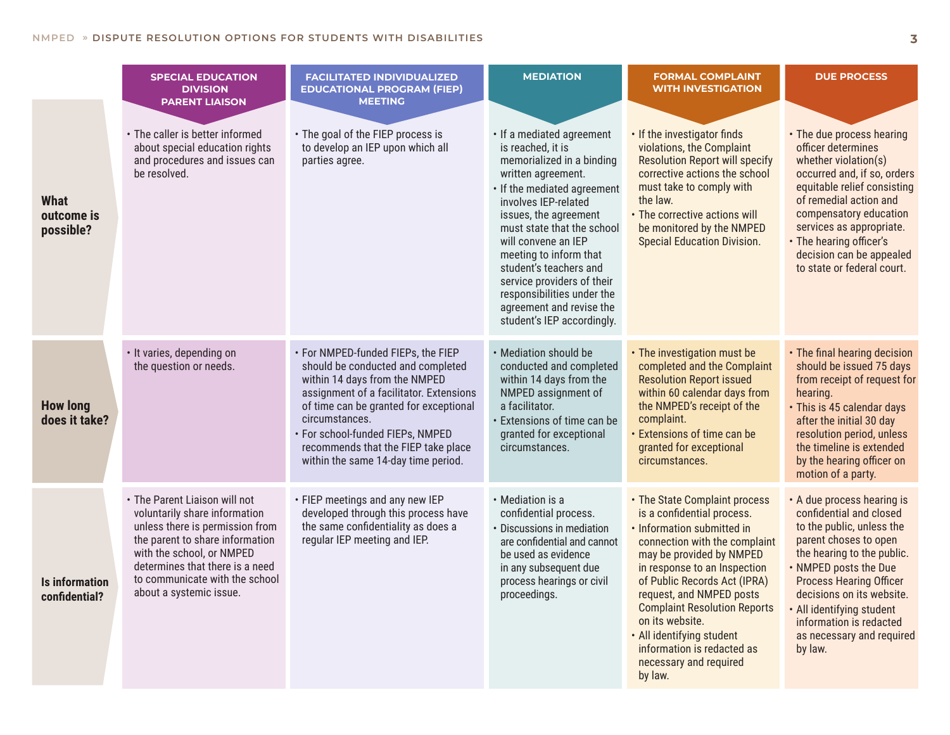|                                        | <b>SPECIAL EDUCATION</b><br><b>DIVISION</b><br><b>PARENT LIAISON</b>                                                                                                                                                                                              | <b>FACILITATED INDIVIDUALIZED</b><br><b>EDUCATIONAL PROGRAM (FIEP)</b><br><b>MEETING</b>                                                                                                                                                                                                                                          | <b>MEDIATION</b>                                                                                                                                                                                                                                                                                                                                                                                                 | <b>FORMAL COMPLAINT</b><br><b>WITH INVESTIGATION</b>                                                                                                                                                                                                                                                                                                                                                         | <b>DUE PROCESS</b>                                                                                                                                                                                                                                                                                                              |
|----------------------------------------|-------------------------------------------------------------------------------------------------------------------------------------------------------------------------------------------------------------------------------------------------------------------|-----------------------------------------------------------------------------------------------------------------------------------------------------------------------------------------------------------------------------------------------------------------------------------------------------------------------------------|------------------------------------------------------------------------------------------------------------------------------------------------------------------------------------------------------------------------------------------------------------------------------------------------------------------------------------------------------------------------------------------------------------------|--------------------------------------------------------------------------------------------------------------------------------------------------------------------------------------------------------------------------------------------------------------------------------------------------------------------------------------------------------------------------------------------------------------|---------------------------------------------------------------------------------------------------------------------------------------------------------------------------------------------------------------------------------------------------------------------------------------------------------------------------------|
| What<br>outcome is<br>possible?        | • The caller is better informed<br>about special education rights<br>and procedures and issues can<br>be resolved.                                                                                                                                                | • The goal of the FIEP process is<br>to develop an IEP upon which all<br>parties agree.                                                                                                                                                                                                                                           | · If a mediated agreement<br>is reached, it is<br>memorialized in a binding<br>written agreement.<br>• If the mediated agreement<br>involves IEP-related<br>issues, the agreement<br>must state that the school<br>will convene an IEP<br>meeting to inform that<br>student's teachers and<br>service providers of their<br>responsibilities under the<br>agreement and revise the<br>student's IEP accordingly. | . If the investigator finds<br>violations, the Complaint<br><b>Resolution Report will specify</b><br>corrective actions the school<br>must take to comply with<br>the law.<br>• The corrective actions will<br>be monitored by the NMPED<br><b>Special Education Division.</b>                                                                                                                               | • The due process hearing<br>officer determines<br>whether violation(s)<br>occurred and, if so, orders<br>equitable relief consisting<br>of remedial action and<br>compensatory education<br>services as appropriate.<br>• The hearing officer's<br>decision can be appealed<br>to state or federal court.                      |
| <b>How long</b><br>does it take?       | • It varies, depending on<br>the question or needs.                                                                                                                                                                                                               | • For NMPED-funded FIEPs, the FIEP<br>should be conducted and completed<br>within 14 days from the NMPED<br>assignment of a facilitator. Extensions<br>of time can be granted for exceptional<br>circumstances.<br>· For school-funded FIEPs, NMPED<br>recommends that the FIEP take place<br>within the same 14-day time period. | • Mediation should be<br>conducted and completed<br>within 14 days from the<br>NMPED assignment of<br>a facilitator.<br>· Extensions of time can be<br>granted for exceptional<br>circumstances.                                                                                                                                                                                                                 | • The investigation must be<br>completed and the Complaint<br><b>Resolution Report issued</b><br>within 60 calendar days from<br>the NMPED's receipt of the<br>complaint.<br><b>· Extensions of time can be</b><br>granted for exceptional<br>circumstances.                                                                                                                                                 | • The final hearing decision<br>should be issued 75 days<br>from receipt of request for<br>hearing.<br>· This is 45 calendar days<br>after the initial 30 day<br>resolution period, unless<br>the timeline is extended<br>by the hearing officer on<br>motion of a party.                                                       |
| <b>Is information</b><br>confidential? | • The Parent Liaison will not<br>voluntarily share information<br>unless there is permission from<br>the parent to share information<br>with the school, or NMPED<br>determines that there is a need<br>to communicate with the school<br>about a systemic issue. | • FIEP meetings and any new IEP<br>developed through this process have<br>the same confidentiality as does a<br>regular IEP meeting and IEP.                                                                                                                                                                                      | • Mediation is a<br>confidential process.<br>• Discussions in mediation<br>are confidential and cannot<br>be used as evidence<br>in any subsequent due<br>process hearings or civil<br>proceedings.                                                                                                                                                                                                              | • The State Complaint process<br>is a confidential process.<br>· Information submitted in<br>connection with the complaint<br>may be provided by NMPED<br>in response to an Inspection<br>of Public Records Act (IPRA)<br>request, and NMPED posts<br><b>Complaint Resolution Reports</b><br>on its website.<br>. All identifying student<br>information is redacted as<br>necessary and required<br>by law. | • A due process hearing is<br>confidential and closed<br>to the public, unless the<br>parent choses to open<br>the hearing to the public.<br>. NMPED posts the Due<br><b>Process Hearing Officer</b><br>decisions on its website.<br>All identifying student<br>information is redacted<br>as necessary and required<br>by law. |